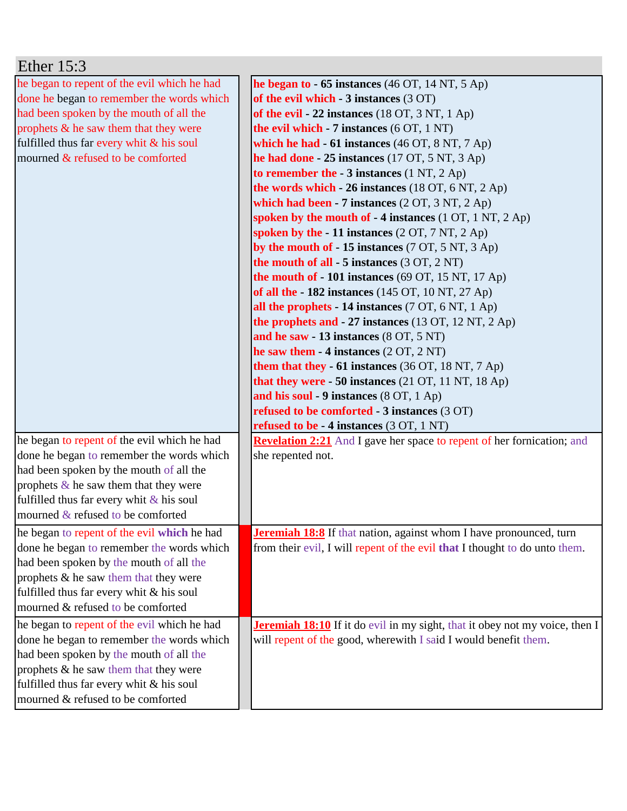| Ether $15:3$                                |                                                                                    |
|---------------------------------------------|------------------------------------------------------------------------------------|
| he began to repent of the evil which he had | he began to $-65$ instances (46 OT, 14 NT, 5 Ap)                                   |
| done he began to remember the words which   | of the evil which $-3$ instances $(3 \text{ OT})$                                  |
| had been spoken by the mouth of all the     | of the evil - 22 instances $(18 \text{ OT}, 3 \text{ NT}, 1 \text{ Ap})$           |
| prophets & he saw them that they were       | the evil which $-7$ instances $(6 OT, 1 NT)$                                       |
| fulfilled thus far every whit & his soul    | which he had $-61$ instances (46 OT, 8 NT, 7 Ap)                                   |
| mourned & refused to be comforted           | he had done $-25$ instances (17 OT, 5 NT, 3 Ap)                                    |
|                                             | to remember the $-3$ instances (1 NT, 2 Ap)                                        |
|                                             | the words which $-26$ instances (18 OT, 6 NT, 2 Ap)                                |
|                                             | which had been - 7 instances $(2 OT, 3 NT, 2 Ap)$                                  |
|                                             | spoken by the mouth of $-4$ instances (1 OT, 1 NT, 2 Ap)                           |
|                                             | spoken by the $-11$ instances $(2 OT, 7 NT, 2 Ap)$                                 |
|                                             | by the mouth of $-15$ instances (7 OT, 5 NT, 3 Ap)                                 |
|                                             | the mouth of all $-5$ instances (3 OT, 2 NT)                                       |
|                                             | the mouth of $-101$ instances (69 OT, 15 NT, 17 Ap)                                |
|                                             | of all the - 182 instances (145 OT, 10 NT, 27 Ap)                                  |
|                                             | all the prophets - 14 instances (7 OT, 6 NT, 1 Ap)                                 |
|                                             | the prophets and $-27$ instances (13 OT, 12 NT, 2 Ap)                              |
|                                             | and he saw - 13 instances (8 OT, 5 NT)                                             |
|                                             | he saw them $-4$ instances $(2 OT, 2 NT)$                                          |
|                                             | them that they - 61 instances (36 OT, 18 NT, 7 Ap)                                 |
|                                             | that they were $-50$ instances (21 OT, 11 NT, 18 Ap)                               |
|                                             | and his soul - 9 instances (8 OT, 1 Ap)                                            |
|                                             | <b>refused to be comforted - 3 instances (3 OT)</b>                                |
|                                             | refused to be - 4 instances (3 OT, 1 NT)                                           |
| he began to repent of the evil which he had | <b>Revelation 2:21</b> And I gave her space to repent of her fornication; and      |
| done he began to remember the words which   | she repented not.                                                                  |
| had been spoken by the mouth of all the     |                                                                                    |
| prophets $\&$ he saw them that they were    |                                                                                    |
| fulfilled thus far every whit $\&$ his soul |                                                                                    |
| mourned $&$ refused to be comforted         |                                                                                    |
| he began to repent of the evil which he had | <b>Jeremiah 18:8</b> If that nation, against whom I have pronounced, turn          |
| done he began to remember the words which   | from their evil, I will repent of the evil that I thought to do unto them.         |
| had been spoken by the mouth of all the     |                                                                                    |
| prophets & he saw them that they were       |                                                                                    |
| fulfilled thus far every whit & his soul    |                                                                                    |
| mourned & refused to be comforted           |                                                                                    |
| he began to repent of the evil which he had | <b>Jeremiah 18:10</b> If it do evil in my sight, that it obey not my voice, then I |
| done he began to remember the words which   | will repent of the good, wherewith I said I would benefit them.                    |
| had been spoken by the mouth of all the     |                                                                                    |
| prophets & he saw them that they were       |                                                                                    |
| fulfilled thus far every whit & his soul    |                                                                                    |
| mourned & refused to be comforted           |                                                                                    |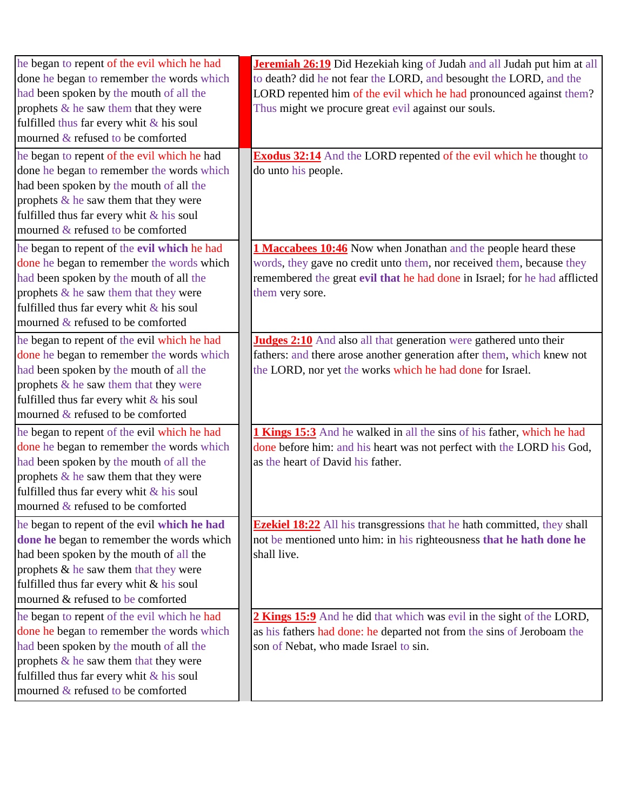| he began to repent of the evil which he had | Jeremiah 26:19 Did Hezekiah king of Judah and all Judah put him at all         |
|---------------------------------------------|--------------------------------------------------------------------------------|
| done he began to remember the words which   | to death? did he not fear the LORD, and besought the LORD, and the             |
| had been spoken by the mouth of all the     | LORD repented him of the evil which he had pronounced against them?            |
| prophets & he saw them that they were       | Thus might we procure great evil against our souls.                            |
| fulfilled thus far every whit $\&$ his soul |                                                                                |
| mourned & refused to be comforted           |                                                                                |
| he began to repent of the evil which he had | <b>Exodus 32:14</b> And the LORD repented of the evil which he thought to      |
| done he began to remember the words which   | do unto his people.                                                            |
| had been spoken by the mouth of all the     |                                                                                |
| prophets $\&$ he saw them that they were    |                                                                                |
| fulfilled thus far every whit & his soul    |                                                                                |
| mourned & refused to be comforted           |                                                                                |
| he began to repent of the evil which he had | 1 Maccabees 10:46 Now when Jonathan and the people heard these                 |
| done he began to remember the words which   | words, they gave no credit unto them, nor received them, because they          |
| had been spoken by the mouth of all the     | remembered the great evil that he had done in Israel; for he had afflicted     |
| prophets $\&$ he saw them that they were    | them very sore.                                                                |
| fulfilled thus far every whit $\&$ his soul |                                                                                |
| mourned & refused to be comforted           |                                                                                |
| he began to repent of the evil which he had | <b>Judges 2:10</b> And also all that generation were gathered unto their       |
| done he began to remember the words which   | fathers: and there arose another generation after them, which knew not         |
| had been spoken by the mouth of all the     | the LORD, nor yet the works which he had done for Israel.                      |
| prophets & he saw them that they were       |                                                                                |
| fulfilled thus far every whit $&$ his soul  |                                                                                |
| mourned & refused to be comforted           |                                                                                |
| he began to repent of the evil which he had | 1 Kings 15:3 And he walked in all the sins of his father, which he had         |
| done he began to remember the words which   | done before him: and his heart was not perfect with the LORD his God,          |
| had been spoken by the mouth of all the     | as the heart of David his father.                                              |
| prophets $\&$ he saw them that they were    |                                                                                |
| fulfilled thus far every whit & his soul    |                                                                                |
| mourned & refused to be comforted           |                                                                                |
| he began to repent of the evil which he had | <b>Ezekiel 18:22</b> All his transgressions that he hath committed, they shall |
| done he began to remember the words which   | not be mentioned unto him: in his righteousness that he hath done he           |
| had been spoken by the mouth of all the     | shall live.                                                                    |
| prophets & he saw them that they were       |                                                                                |
| fulfilled thus far every whit & his soul    |                                                                                |
| mourned & refused to be comforted           |                                                                                |
| he began to repent of the evil which he had | 2 Kings 15:9 And he did that which was evil in the sight of the LORD,          |
| done he began to remember the words which   | as his fathers had done: he departed not from the sins of Jeroboam the         |
| had been spoken by the mouth of all the     | son of Nebat, who made Israel to sin.                                          |
| prophets $\&$ he saw them that they were    |                                                                                |
| fulfilled thus far every whit & his soul    |                                                                                |
| mourned & refused to be comforted           |                                                                                |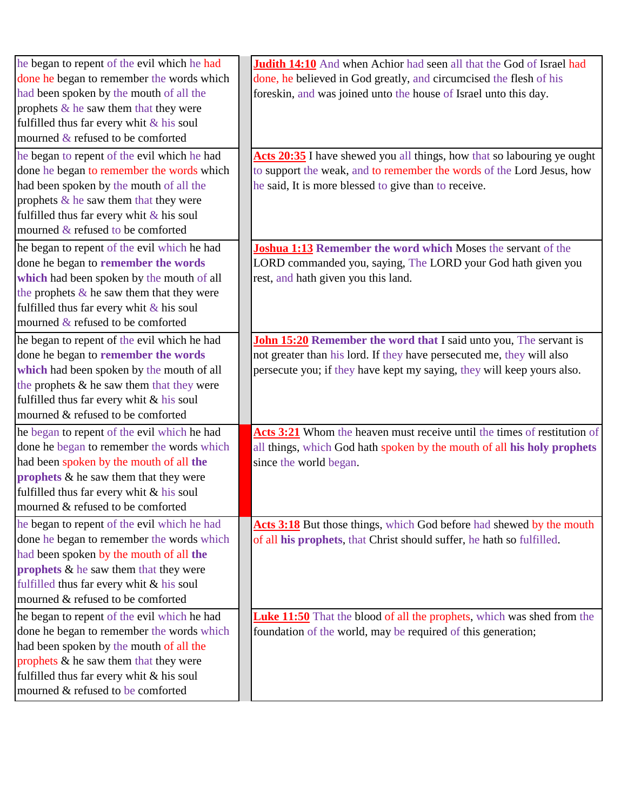| he began to repent of the evil which he had  | Judith 14:10 And when Achior had seen all that the God of Israel had          |
|----------------------------------------------|-------------------------------------------------------------------------------|
| done he began to remember the words which    | done, he believed in God greatly, and circumcised the flesh of his            |
| had been spoken by the mouth of all the      | foreskin, and was joined unto the house of Israel unto this day.              |
| prophets $\&$ he saw them that they were     |                                                                               |
| fulfilled thus far every whit & his soul     |                                                                               |
| mourned & refused to be comforted            |                                                                               |
| he began to repent of the evil which he had  | Acts 20:35 I have shewed you all things, how that so labouring ye ought       |
| done he began to remember the words which    | to support the weak, and to remember the words of the Lord Jesus, how         |
| had been spoken by the mouth of all the      | he said, It is more blessed to give than to receive.                          |
| prophets $\&$ he saw them that they were     |                                                                               |
| fulfilled thus far every whit $\&$ his soul  |                                                                               |
| mourned & refused to be comforted            |                                                                               |
| he began to repent of the evil which he had  | Joshua 1:13 Remember the word which Moses the servant of the                  |
| done he began to remember the words          | LORD commanded you, saying, The LORD your God hath given you                  |
| which had been spoken by the mouth of all    | rest, and hath given you this land.                                           |
| the prophets $\&$ he saw them that they were |                                                                               |
| fulfilled thus far every whit $\&$ his soul  |                                                                               |
| mourned & refused to be comforted            |                                                                               |
| he began to repent of the evil which he had  | <b>John 15:20 Remember the word that I said unto you, The servant is</b>      |
| done he began to remember the words          | not greater than his lord. If they have persecuted me, they will also         |
| which had been spoken by the mouth of all    | persecute you; if they have kept my saying, they will keep yours also.        |
| the prophets & he saw them that they were    |                                                                               |
| fulfilled thus far every whit & his soul     |                                                                               |
| mourned & refused to be comforted            |                                                                               |
| he began to repent of the evil which he had  | Acts 3:21 Whom the heaven must receive until the times of restitution of      |
| done he began to remember the words which    | all things, which God hath spoken by the mouth of all his holy prophets       |
| had been spoken by the mouth of all the      | since the world began.                                                        |
| prophets & he saw them that they were        |                                                                               |
| fulfilled thus far every whit & his soul     |                                                                               |
| mourned & refused to be comforted            |                                                                               |
| he began to repent of the evil which he had  | Acts 3:18 But those things, which God before had shewed by the mouth          |
| done he began to remember the words which    | of all his prophets, that Christ should suffer, he hath so fulfilled.         |
| had been spoken by the mouth of all the      |                                                                               |
| prophets $\&$ he saw them that they were     |                                                                               |
| fulfilled thus far every whit & his soul     |                                                                               |
| mourned & refused to be comforted            |                                                                               |
| he began to repent of the evil which he had  | <b>Luke 11:50</b> That the blood of all the prophets, which was shed from the |
| done he began to remember the words which    | foundation of the world, may be required of this generation;                  |
| had been spoken by the mouth of all the      |                                                                               |
| prophets & he saw them that they were        |                                                                               |
| fulfilled thus far every whit & his soul     |                                                                               |
| mourned & refused to be comforted            |                                                                               |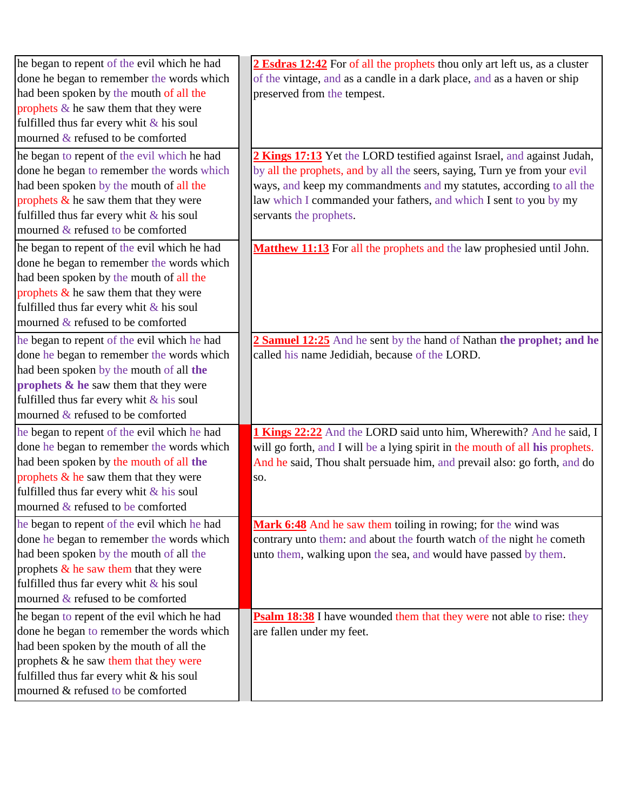| he began to repent of the evil which he had                                   | 2 Esdras 12:42 For of all the prophets thou only art left us, as a cluster    |
|-------------------------------------------------------------------------------|-------------------------------------------------------------------------------|
| done he began to remember the words which                                     | of the vintage, and as a candle in a dark place, and as a haven or ship       |
| had been spoken by the mouth of all the                                       | preserved from the tempest.                                                   |
| prophets $\&$ he saw them that they were                                      |                                                                               |
| fulfilled thus far every whit $&$ his soul                                    |                                                                               |
| mourned $&$ refused to be comforted                                           |                                                                               |
| he began to repent of the evil which he had                                   | 2 Kings 17:13 Yet the LORD testified against Israel, and against Judah,       |
| done he began to remember the words which                                     | by all the prophets, and by all the seers, saying, Turn ye from your evil     |
| had been spoken by the mouth of all the                                       | ways, and keep my commandments and my statutes, according to all the          |
| prophets $\&$ he saw them that they were                                      | law which I commanded your fathers, and which I sent to you by my             |
| fulfilled thus far every whit $\&$ his soul                                   | servants the prophets.                                                        |
| mourned & refused to be comforted                                             |                                                                               |
| he began to repent of the evil which he had                                   | Matthew 11:13 For all the prophets and the law prophesied until John.         |
| done he began to remember the words which                                     |                                                                               |
| had been spoken by the mouth of all the                                       |                                                                               |
| prophets $\&$ he saw them that they were                                      |                                                                               |
| fulfilled thus far every whit & his soul                                      |                                                                               |
| mourned & refused to be comforted                                             |                                                                               |
| he began to repent of the evil which he had                                   | 2 Samuel 12:25 And he sent by the hand of Nathan the prophet; and he          |
| done he began to remember the words which                                     | called his name Jedidiah, because of the LORD.                                |
| had been spoken by the mouth of all the                                       |                                                                               |
| prophets & he saw them that they were                                         |                                                                               |
| fulfilled thus far every whit $&$ his soul                                    |                                                                               |
| mourned & refused to be comforted                                             |                                                                               |
|                                                                               |                                                                               |
| he began to repent of the evil which he had                                   | 1 Kings 22:22 And the LORD said unto him, Wherewith? And he said, I           |
| done he began to remember the words which                                     | will go forth, and I will be a lying spirit in the mouth of all his prophets. |
| had been spoken by the mouth of all the                                       | And he said, Thou shalt persuade him, and prevail also: go forth, and do      |
| prophets $\&$ he saw them that they were                                      | SO.                                                                           |
| fulfilled thus far every whit & his soul<br>mourned & refused to be comforted |                                                                               |
|                                                                               |                                                                               |
| he began to repent of the evil which he had                                   | Mark 6:48 And he saw them toiling in rowing; for the wind was                 |
| done he began to remember the words which                                     | contrary unto them: and about the fourth watch of the night he cometh         |
| had been spoken by the mouth of all the                                       | unto them, walking upon the sea, and would have passed by them.               |
| prophets $\&$ he saw them that they were                                      |                                                                               |
| fulfilled thus far every whit $\&$ his soul                                   |                                                                               |
| mourned $&$ refused to be comforted                                           |                                                                               |
| he began to repent of the evil which he had                                   | <b>Psalm 18:38</b> I have wounded them that they were not able to rise: they  |
| done he began to remember the words which                                     | are fallen under my feet.                                                     |
| had been spoken by the mouth of all the                                       |                                                                               |
| prophets & he saw them that they were                                         |                                                                               |
| fulfilled thus far every whit & his soul                                      |                                                                               |
| mourned & refused to be comforted                                             |                                                                               |